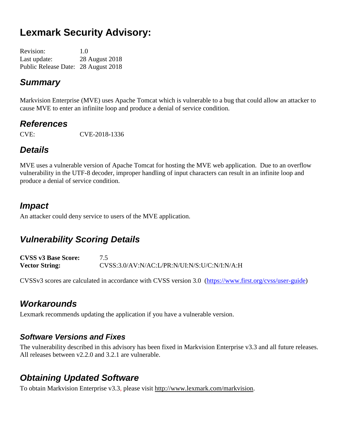# **Lexmark Security Advisory:**

| <b>Revision:</b>                    | 1.0            |
|-------------------------------------|----------------|
| Last update:                        | 28 August 2018 |
| Public Release Date: 28 August 2018 |                |

### *Summary*

Markvision Enterprise (MVE) uses Apache Tomcat which is vulnerable to a bug that could allow an attacker to cause MVE to enter an infiniite loop and produce a denial of service condition.

### *References*

CVE: CVE-2018-1336

## *Details*

MVE uses a vulnerable version of Apache Tomcat for hosting the MVE web application. Due to an overflow vulnerability in the UTF-8 decoder, improper handling of input characters can result in an infinite loop and produce a denial of service condition.

### *Impact*

An attacker could deny service to users of the MVE application.

## *Vulnerability Scoring Details*

**CVSS v3 Base Score:** 7.5 **Vector String:** CVSS:3.0/AV:N/AC:L/PR:N/UI:N/S:U/C:N/I:N/A:H

CVSSv3 scores are calculated in accordance with CVSS version 3.0 [\(https://www.first.org/cvss/user-guide\)](https://www.first.org/cvss/user-guide)

## *Workarounds*

Lexmark recommends updating the application if you have a vulnerable version.

#### *Software Versions and Fixes*

The vulnerability described in this advisory has been fixed in Markvision Enterprise v3.3 and all future releases. All releases between v2.2.0 and 3.2.1 are vulnerable.

## *Obtaining Updated Software*

To obtain Markvision Enterprise v3.3, please visit http://www.lexmark.com/markvision.